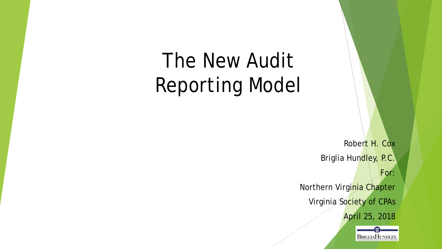# The New Audit Reporting Model

Robert H. Cox Briglia Hundley, P.C. For: Northern Virginia Chapter

Virginia Society of CPAs

April 25, 2018

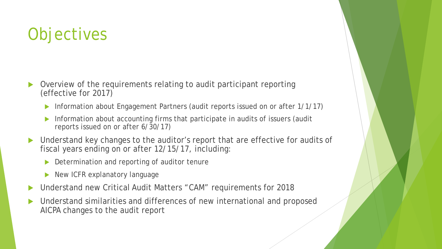## **Objectives**

- Overview of the requirements relating to audit participant reporting (effective for 2017)
	- ▶ Information about Engagement Partners (audit reports issued on or after 1/1/17)
	- Information about accounting firms that participate in audits of issuers (audit reports issued on or after 6/30/17)
- Understand key changes to the auditor's report that are effective for audits of fiscal years ending on or after 12/15/17, including:
	- Determination and reporting of auditor tenure
	- New ICFR explanatory language
- Understand new Critical Audit Matters "CAM" requirements for 2018
- Understand similarities and differences of new international and proposed AICPA changes to the audit report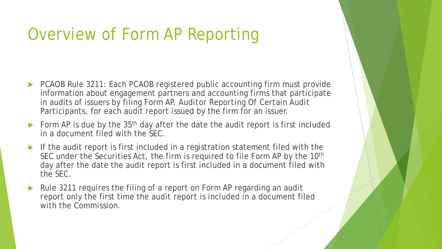### Overview of Form AP Reporting

- ▶ PCAOB Rule 3211: Each PCAOB registered public accounting firm must provide information about engagement partners and accounting firms that participate in audits of issuers by filing Form AP, *Auditor Reporting Of Certain Audit Participants*, for each audit report issued by the firm for an issuer.
- Form AP is due by the  $35<sup>th</sup>$  day after the date the audit report is first included in a document filed with the SEC.
- If the audit report is first included in a registration statement filed with the SEC under the Securities Act, the firm is required to file Form AP by the 10<sup>th</sup> day after the date the audit report is first included in a document filed with the SEC.
- Rule 3211 requires the filing of a report on Form AP regarding an *audit report* only the first time the *audit report* is included in a document filed with the *Commission*.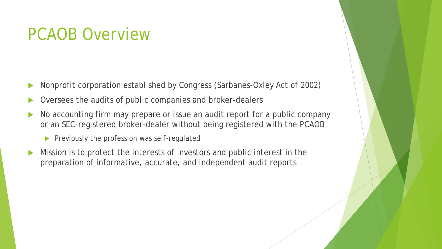### PCAOB Overview

- Nonprofit corporation established by Congress (Sarbanes-Oxley Act of 2002)
- Oversees the audits of public companies and broker-dealers
- No accounting firm may prepare or issue an audit report for a public company or an SEC-registered broker-dealer without being registered with the PCAOB
	- $\blacktriangleright$  Previously the profession was self-regulated
- Mission is to protect the interests of investors and public interest in the preparation of informative, accurate, and independent audit reports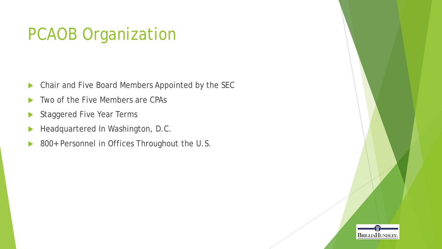## PCAOB Organization

- **Chair and Five Board Members Appointed by the SEC**
- Two of the Five Members are CPAs
- Staggered Five Year Terms
- Headquartered In Washington, D.C.
- ▶ 800+ Personnel in Offices Throughout the U.S.

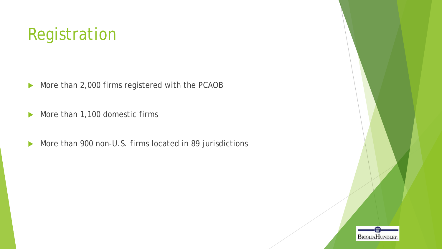## Registration

- More than 2,000 firms registered with the PCAOB
- More than 1,100 domestic firms
- More than 900 non-U.S. firms located in 89 jurisdictions

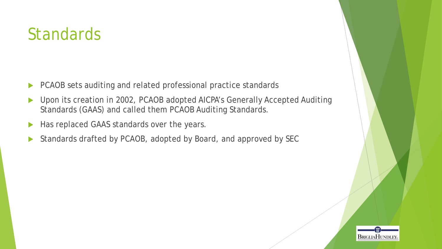### **Standards**

- ▶ PCAOB sets auditing and related professional practice standards
- ▶ Upon its creation in 2002, PCAOB adopted AICPA's Generally Accepted Auditing Standards (GAAS) and called them PCAOB Auditing Standards.
- Has replaced GAAS standards over the years.
- Standards drafted by PCAOB, adopted by Board, and approved by SEC

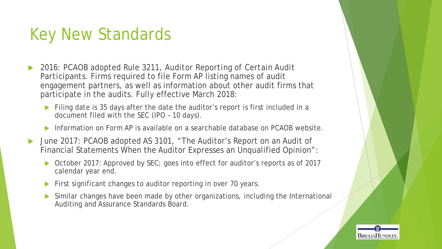### Key New Standards

- 2016: PCAOB adopted Rule 3211, *Auditor Reporting of Certain Audit Participants*. Firms required to file Form AP listing names of audit engagement partners, as well as information about other audit firms that participate in the audits. Fully effective March 2018:
	- Filing date is 35 days after the date the auditor's report is first included in a document filed with the SEC (IPO – 10 days).
	- Information on Form AP is available on a searchable database on PCAOB website.
- ▶ June 2017: PCAOB adopted AS 3101, "The Auditor's Report on an Audit of Financial Statements When the Auditor Expresses an Unqualified Opinion":
	- October 2017: Approved by SEC; goes into effect for auditor's reports as of 2017 calendar year end.
	- First significant changes to auditor reporting in over 70 years.
	- Similar changes have been made by other organizations, including the International Auditing and Assurance Standards Board.

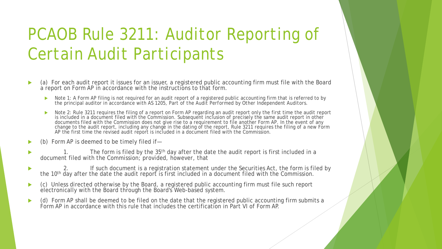## PCAOB Rule 3211: *Auditor Reporting of Certain Audit Participants*

- (a) For each audit report it issues for an issuer, a registered public accounting firm must file with the Board a report on Form AP in accordance with the instructions to that form.
	- Note 1: A Form AP filing is not required for an audit report of a registered public accounting firm that is referred to by the principal auditor in accordance with AS 1205, *Part of the Audit Performed by Other Independent Auditors*.
	- Note 2: Rule 3211 requires the filing of a report on Form AP regarding an audit report only the first time the audit report is included in a document filed with the Commission. Subsequent inclusion of precisely the same audit report in other documents filed with the Commission does not give rise to a requirement to file another Form AP. In the event of any change to the audit report, including any change in the dating of the report, Rule 3211 requires the filing of a new Form AP the first time the revised audit report is included in a document filed with the Commission.
- (b) Form AP is deemed to be timely filed if—
- The form is filed by the 35<sup>th</sup> day after the date the audit report is first included in a document filed with the Commission; *provided*, *however*, that
- ▶ 2. If such document is a registration statement under the Securities Act, the form is filed by the 10<sup>th</sup> day after the date the audit report is first included in a document filed with the Commission.
- (c) Unless directed otherwise by the Board, a registered public accounting firm must file such report electronically with the Board through the Board's Web-based system.
- (d) Form AP shall be deemed to be filed on the date that the registered public accounting firm submits a Form AP in accordance with this rule that includes the certification in Part VI of Form AP.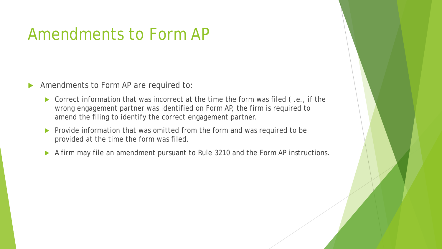### Amendments to Form AP

- Amendments to Form AP are required to:
	- Correct information that was incorrect at the time the form was filed *(i.e*., if the wrong engagement partner was identified on Form AP, the firm is required to amend the filing to identify the correct engagement partner.
	- $\triangleright$  Provide information that was omitted from the form and was required to be provided at the time the form was filed.
	- A firm may file an amendment pursuant to Rule 3210 and the Form AP instructions.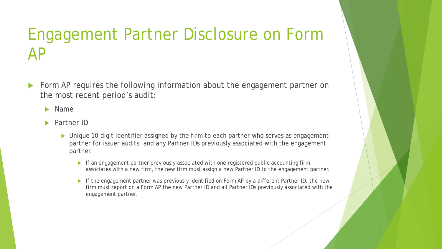## Engagement Partner Disclosure on Form AP

 Form AP requires the following information about the engagement partner on the most recent period's audit:

Name

- Partner ID
	- ▶ Unique 10-digit identifier assigned by the firm to each partner who serves as engagement partner for issuer audits, and any Partner IDs previously associated with the engagement partner.
		- $\blacktriangleright$  If an engagement partner previously associated with one registered public accounting firm associates with a new firm, the new firm must assign a new Partner ID to the engagement partner.
		- If the engagement partner was previously identified on Form AP by a different Partner ID, the new firm must report on a Form AP the new Partner ID and all Partner IDs previously associated with the engagement partner.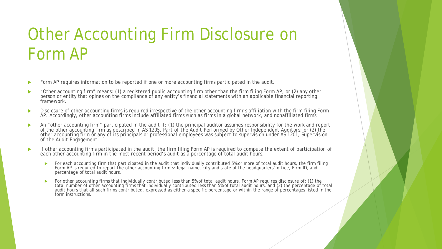## Other Accounting Firm Disclosure on Form AP

- Form AP requires information to be reported if one or more accounting firms participated in the audit.
- ▶ "Other accounting firm" means: (1) a registered public accounting firm other than the firm filing Form AP, or (2) any other person or entity that opines on the compliance of any entity's financial statements with an applicable financial reporting framework.
- Disclosure of other accounting firms is required irrespective of the other accounting firm's affiliation with the firm filing Form AP. Accordingly, other accounting firms include affiliated firms such as firms in a global network, and nonaffiliated firms.
- An "other accounting firm" participated in the audit if: (1) the principal auditor assumes responsibility for the work and report of the other accounting firm as described in AS 1205, *Part of the Audit Performed by Other Independent Auditors*; or (2) the other accounting firm or any of its principals or professional employees was subject to supervision under AS 1201, *Supervision of the Audit Engagement*.
- If other accounting firms participated in the audit, the firm filing Form AP is required to compute the extent of participation of each other accounting firm in the most recent period's audit as a percentage of total audit hours.
	- For each accounting firm that participated in the audit that individually contributed 5% or more of total audit hours, the firm filing Form AP is required to report the other accounting firm's: legal name, city and state of the headquarters' office, Firm ID, and percentage of total audit hours.
	- For other accounting firms that individually contributed less than 5% of total audit hours, Form AP requires disclosure of: (1) the total number of other accounting firms that individually contributed less than 5% of total audit hours, and (2) the percentage of total audit hours that all such firms contributed, expressed as either a specific percentage or within the range of percentages listed in the form instructions.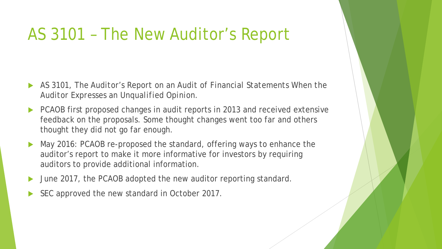### AS 3101 – The New Auditor's Report

- AS 3101, *The Auditor's Report on an Audit of Financial Statements When the Auditor Expresses an Unqualified Opinion.*
- PCAOB first proposed changes in audit reports in 2013 and received extensive feedback on the proposals. Some thought changes went too far and others thought they did not go far enough.
- May 2016: PCAOB re-proposed the standard, offering ways to enhance the auditor's report to make it more informative for investors by requiring auditors to provide additional information.
- June 2017, the PCAOB adopted the new auditor reporting standard.
- SEC approved the new standard in October 2017.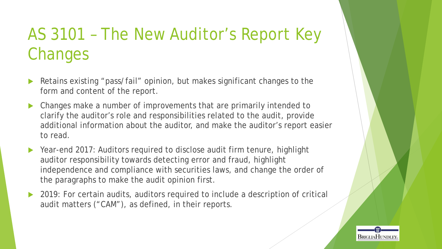## AS 3101 – The New Auditor's Report Key Changes

- Retains existing "pass/fail" opinion, but makes significant changes to the form and content of the report.
- Changes make a number of improvements that are primarily intended to clarify the auditor's role and responsibilities related to the audit, provide additional information about the auditor, and make the auditor's report easier to read.
- Year-end 2017: Auditors required to disclose audit firm tenure, highlight auditor responsibility towards detecting error and fraud, highlight independence and compliance with securities laws, and change the order of the paragraphs to make the audit opinion first.
- 2019: For certain audits, auditors required to include a description of critical audit matters ("CAM"), as defined, in their reports.

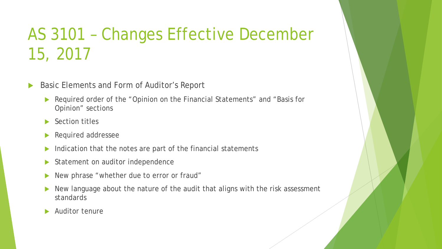## AS 3101 – Changes Effective December 15, 2017

- Basic Elements and Form of Auditor's Report
	- Required order of the "Opinion on the Financial Statements" and "Basis for Opinion" sections
	- ▶ Section titles
	- Required addressee
	- $\blacktriangleright$  Indication that the notes are part of the financial statements
	- Statement on auditor independence
	- New phrase "whether due to error or fraud"
	- New language about the nature of the audit that aligns with the risk assessment standards
	- Auditor tenure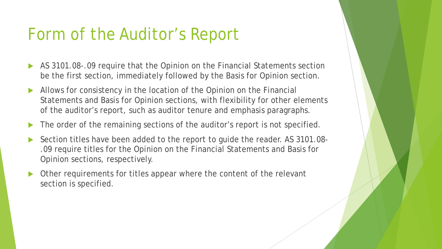### Form of the Auditor's Report

- AS 3101.08-.09 require that the Opinion on the Financial Statements section be the first section, immediately followed by the Basis for Opinion section.
- Allows for consistency in the location of the Opinion on the Financial Statements and Basis for Opinion sections, with flexibility for other elements of the auditor's report, such as auditor tenure and emphasis paragraphs.
- The order of the remaining sections of the auditor's report is not specified.
- Section titles have been added to the report to guide the reader. AS 3101.08- .09 require titles for the Opinion on the Financial Statements and Basis for Opinion sections, respectively.
- Other requirements for titles appear where the content of the relevant section is specified.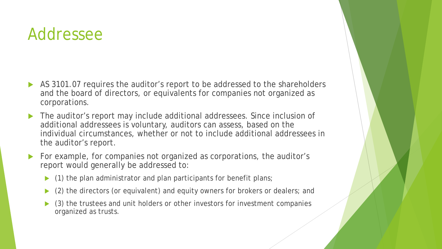### Addressee

- AS 3101.07 requires the auditor's report to be addressed to the shareholders and the board of directors, or equivalents for companies not organized as corporations.
- ▶ The auditor's report may include additional addressees. Since inclusion of additional addressees is voluntary, auditors can assess, based on the individual circumstances, whether or not to include additional addressees in the auditor's report.
- For example, for companies not organized as corporations, the auditor's report would generally be addressed to:
	- (1) the plan administrator and plan participants for benefit plans;
	- (2) the directors (or equivalent) and equity owners for brokers or dealers; and
	- (3) the trustees and unit holders or other investors for investment companies organized as trusts.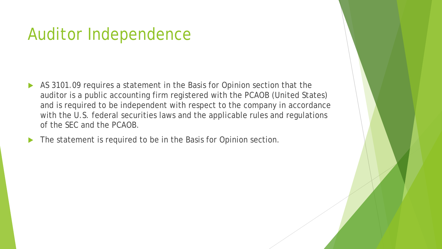### Auditor Independence

- AS 3101.09 requires a statement in the Basis for Opinion section that the auditor is a public accounting firm registered with the PCAOB (United States) and is required to be independent with respect to the company in accordance with the U.S. federal securities laws and the applicable rules and regulations of the SEC and the PCAOB.
- The statement is required to be in the Basis for Opinion section.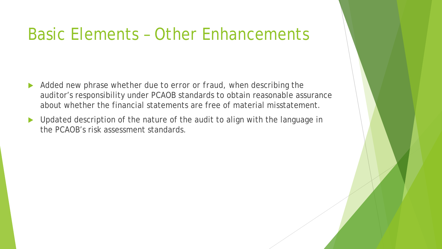### Basic Elements – Other Enhancements

- Added new phrase *whether due to error or fraud*, when describing the auditor's responsibility under PCAOB standards to obtain reasonable assurance about whether the financial statements are free of material misstatement.
- Deposited description of the nature of the audit to align with the language in the PCAOB's risk assessment standards.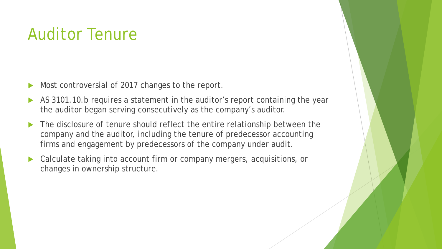### Auditor Tenure

- Most controversial of 2017 changes to the report.
- AS 3101.10.b requires a statement in the auditor's report containing the year the auditor began serving consecutively as the company's auditor.
- The disclosure of tenure should reflect the entire relationship between the company and the auditor, including the tenure of predecessor accounting firms and engagement by predecessors of the company under audit.
- Calculate taking into account firm or company mergers, acquisitions, or changes in ownership structure.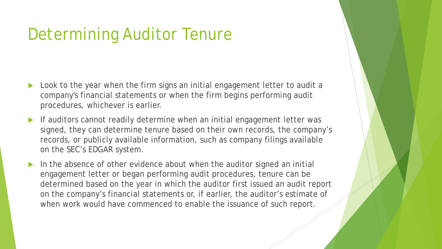## Determining Auditor Tenure

- Look to the year when the firm signs an initial engagement letter to audit a company's financial statements or when the firm begins performing audit procedures, whichever is earlier.
- If auditors cannot readily determine when an initial engagement letter was signed, they can determine tenure based on their own records, the company's records, or publicly available information, such as company filings available on the SEC's EDGAR system.
- In the absence of other evidence about when the auditor signed an initial engagement letter or began performing audit procedures, tenure can be determined based on the year in which the auditor first issued an audit report on the company's financial statements or, if earlier, the auditor's estimate of when work would have commenced to enable the issuance of such report.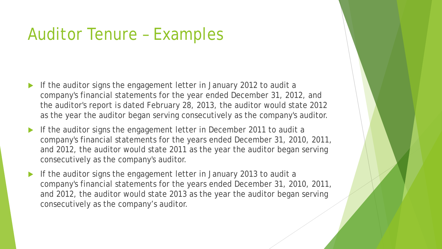### Auditor Tenure – Examples

- If the auditor signs the engagement letter in January 2012 to audit a company's financial statements for the year ended December 31, 2012, and the auditor's report is dated February 28, 2013, the auditor would state 2012 as the year the auditor began serving consecutively as the company's auditor.
- If the auditor signs the engagement letter in December 2011 to audit a company's financial statements for the years ended December 31, 2010, 2011, and 2012, the auditor would state 2011 as the year the auditor began serving consecutively as the company's auditor.
- If the auditor signs the engagement letter in January 2013 to audit a company's financial statements for the years ended December 31, 2010, 2011, and 2012, the auditor would state 2013 as the year the auditor began serving consecutively as the company's auditor.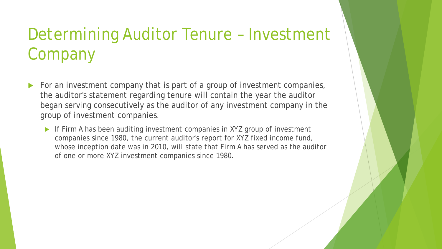## Determining Auditor Tenure – Investment Company

- For an investment company that is part of a group of investment companies, the auditor's statement regarding tenure will contain the year the auditor began serving consecutively as the auditor of any investment company in the group of investment companies.
	- If Firm A has been auditing investment companies in XYZ group of investment companies since 1980, the current auditor's report for XYZ fixed income fund, whose inception date was in 2010, will state that Firm A has served as the auditor of one or more XYZ investment companies since 1980.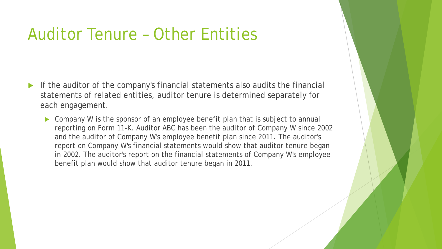### Auditor Tenure – Other Entities

- If the auditor of the company's financial statements also audits the financial statements of related entities, auditor tenure is determined separately for each engagement.
	- Company W is the sponsor of an employee benefit plan that is subject to annual reporting on Form 11-K. Auditor ABC has been the auditor of Company W since 2002 and the auditor of Company W's employee benefit plan since 2011. The auditor's report on Company W's financial statements would show that auditor tenure began in 2002. The auditor's report on the financial statements of Company W's employee benefit plan would show that auditor tenure began in 2011.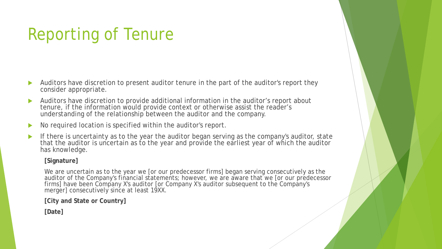## Reporting of Tenure

- Auditors have discretion to present auditor tenure in the part of the auditor's report they consider appropriate.
- Auditors have discretion to provide additional information in the auditor's report about tenure, if the information would provide context or otherwise assist the reader's understanding of the relationship between the auditor and the company.
- No required location is specified within the auditor's report.
- If there is uncertainty as to the year the auditor began serving as the company's auditor, state that the auditor is uncertain as to the year and provide the earliest year of which the auditor has knowledge.

#### **[Signature]**

We are uncertain as to the year we [or our predecessor firms] began serving consecutively as the auditor of the Company's financial statements; however, we are aware that we [or our predecessor firms] have been Company X's auditor [or Company X's auditor subsequent to the Company's merger] consecutively since at least 19XX.

**[City and State or Country]**

**[Date]**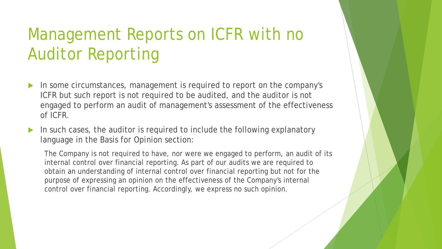## Management Reports on ICFR with no Auditor Reporting

- In some circumstances, management is required to report on the company's ICFR but such report is not required to be audited, and the auditor is not engaged to perform an audit of management's assessment of the effectiveness of ICFR.
- In such cases, the auditor is required to include the following explanatory language in the Basis for Opinion section:

The Company is not required to have, nor were we engaged to perform, an audit of its internal control over financial reporting. As part of our audits we are required to obtain an understanding of internal control over financial reporting but not for the purpose of expressing an opinion on the effectiveness of the Company's internal control over financial reporting. Accordingly, we express no such opinion.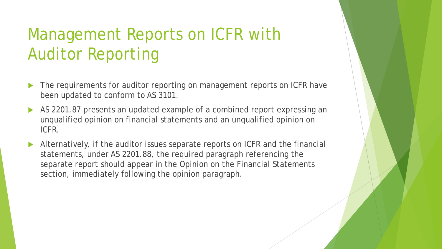## Management Reports on ICFR with Auditor Reporting

- The requirements for auditor reporting on management reports on ICFR have been updated to conform to AS 3101.
- AS 2201.87 presents an updated example of a combined report expressing an unqualified opinion on financial statements and an unqualified opinion on ICFR.
- Alternatively, if the auditor issues separate reports on ICFR and the financial statements, under AS 2201.88, the required paragraph referencing the separate report should appear in the Opinion on the Financial Statements section, immediately following the opinion paragraph.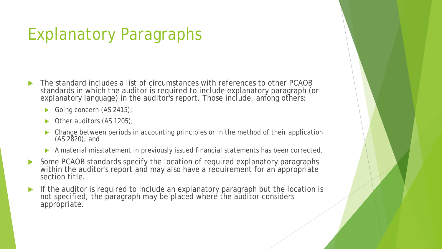## Explanatory Paragraphs

- The standard includes a list of circumstances with references to other PCAOB standards in which the auditor is required to include explanatory paragraph (or explanatory language) in the auditor's report. Those include, among others:
	- Going concern (AS 2415);
	- Other auditors (AS 1205);
	- Change between periods in accounting principles or in the method of their application (AS 2820); and
	- A material misstatement in previously issued financial statements has been corrected.
- Some PCAOB standards specify the location of required explanatory paragraphs within the auditor's report and may also have a requirement for an appropriate section title.
- If the auditor is required to include an explanatory paragraph but the location is not specified, the paragraph may be placed where the auditor considers appropriate.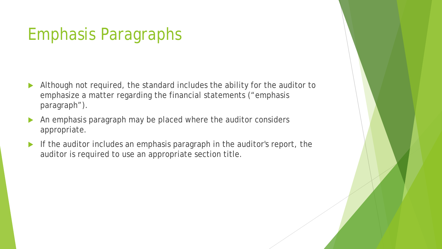### Emphasis Paragraphs

- Although not required, the standard includes the ability for the auditor to emphasize a matter regarding the financial statements ("emphasis paragraph").
- An emphasis paragraph may be placed where the auditor considers appropriate.
- If the auditor includes an emphasis paragraph in the auditor's report, the auditor is required to use an appropriate section title.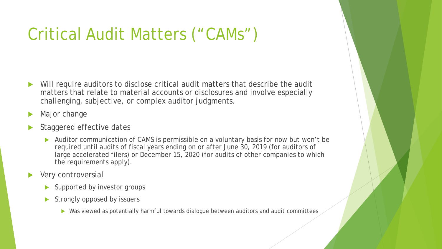## Critical Audit Matters ("CAMs")

- Will require auditors to disclose critical audit matters that describe the audit matters that relate to material accounts or disclosures and involve especially challenging, subjective, or complex auditor judgments.
- Major change
- Staggered effective dates
	- Auditor communication of CAMS is permissible on a voluntary basis for now but won't be required until audits of fiscal years ending on or after June 30, 2019 (for auditors of large accelerated filers) or December 15, 2020 (for audits of other companies to which the requirements apply).
- Very controversial
	- Supported by investor groups
	- Strongly opposed by issuers
		- ▶ Was viewed as potentially harmful towards dialogue between auditors and audit committees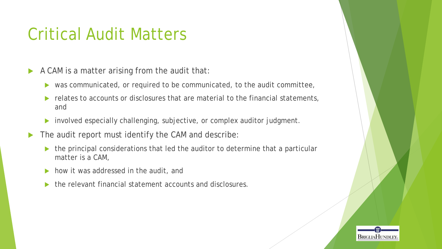## Critical Audit Matters

 $\blacktriangleright$  A CAM is a matter arising from the audit that:

- was communicated, or required to be communicated, to the audit committee,
- $\blacktriangleright$  relates to accounts or disclosures that are material to the financial statements, and
- involved especially challenging, subjective, or complex auditor judgment.
- The audit report must identify the CAM and describe:
	- ▶ the principal considerations that led the auditor to determine that a particular matter is a CAM,
	- how it was addressed in the audit, and
	- the relevant financial statement accounts and disclosures.

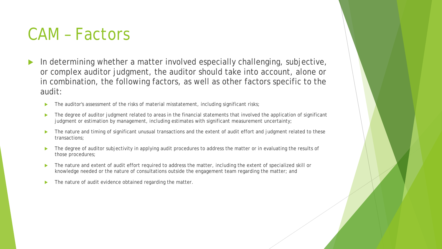### CAM – Factors

- In determining whether a matter involved especially challenging, subjective, or complex auditor judgment, the auditor should take into account, alone or in combination, the following factors, as well as other factors specific to the audit:
	- The auditor's assessment of the risks of material misstatement, including significant risks;
	- The degree of auditor judgment related to areas in the financial statements that involved the application of significant judgment or estimation by management, including estimates with significant measurement uncertainty;
	- The nature and timing of significant unusual transactions and the extent of audit effort and judgment related to these transactions;
	- The degree of auditor subjectivity in applying audit procedures to address the matter or in evaluating the results of those procedures;
	- The nature and extent of audit effort required to address the matter, including the extent of specialized skill or knowledge needed or the nature of consultations outside the engagement team regarding the matter; and
	- ▶ The nature of audit evidence obtained regarding the matter.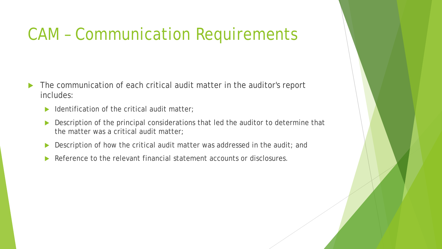### CAM – Communication Requirements

- The communication of each critical audit matter in the auditor's report includes:
	- $\blacktriangleright$  Identification of the critical audit matter;
	- Description of the principal considerations that led the auditor to determine that the matter was a critical audit matter;
	- Description of how the critical audit matter was addressed in the audit; and
	- Reference to the relevant financial statement accounts or disclosures.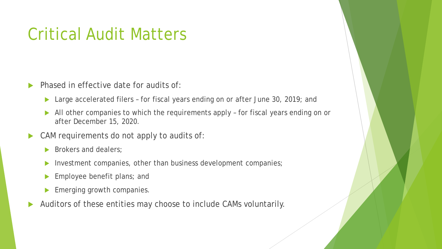### Critical Audit Matters

- Phased in effective date for audits of:
	- ▶ Large accelerated filers for fiscal years ending on or after June 30, 2019; and
	- All other companies to which the requirements apply for fiscal years ending on or after December 15, 2020.
- CAM requirements do not apply to audits of:
	- Brokers and dealers;
	- Investment companies, other than business development companies;
	- Employee benefit plans; and
	- Emerging growth companies.
- Auditors of these entities may choose to include CAMs voluntarily.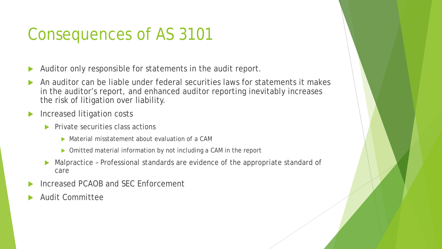## Consequences of AS 3101

- Auditor only responsible for statements in the audit report.
- An auditor can be liable under federal securities laws for statements it makes in the auditor's report, and enhanced auditor reporting inevitably increases the risk of litigation over liability.
- Increased litigation costs
	- $\blacktriangleright$  Private securities class actions
		- Material misstatement about evaluation of a CAM
		- ▶ Omitted material information by not including a CAM in the report
	- Malpractice Professional standards are evidence of the appropriate standard of care
- Increased PCAOB and SEC Enforcement
- Audit Committee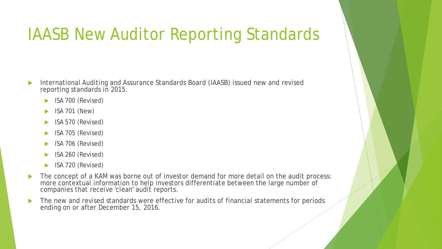### IAASB New Auditor Reporting Standards

- International Auditing and Assurance Standards Board (IAASB) issued new and revised reporting standards in 2015.
	- **ISA 700 (Revised)**
	- ISA 701 (New)
	- $\blacktriangleright$  ISA 570 (Revised)
	- **ISA 705 (Revised)**
	- ISA 706 (Revised)
	- $\blacktriangleright$  ISA 260 (Revised)
	- **ISA 720 (Revised)**
- The concept of a KAM was borne out of investor demand for more detail on the audit process: more contextual information to help investors differentiate between the large number of companies that receive 'clean' audit reports.
- The new and revised standards were effective for audits of financial statements for periods ending on or after December 15, 2016.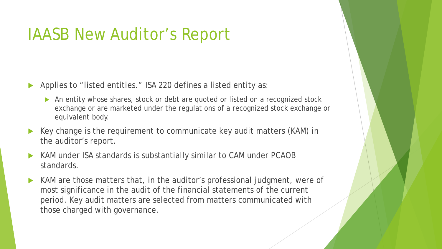### IAASB New Auditor's Report

- Applies to "listed entities." ISA 220 defines a listed entity as:
	- An entity whose shares, stock or debt are quoted or listed on a recognized stock exchange or are marketed under the regulations of a recognized stock exchange or equivalent body.
- Key change is the requirement to communicate key audit matters (KAM) in the auditor's report.
- KAM under ISA standards is substantially similar to CAM under PCAOB standards.
- KAM are those matters that, in the auditor's professional judgment, were of most significance in the audit of the financial statements of the current period. Key audit matters are selected from matters communicated with those charged with governance.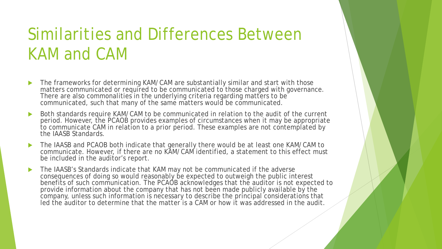## Similarities and Differences Between KAM and CAM

- The frameworks for determining KAM/CAM are substantially similar and start with those matters communicated or required to be communicated to those charged with governance. There are also commonalities in the underlying criteria regarding matters to be communicated, such that many of the same matters would be communicated.
- Both standards require KAM/CAM to be communicated in relation to the audit of the current period. However, the PCAOB provides examples of circumstances when it may be appropriate to communicate CAM in relation to a prior period. These examples are not contemplated by the IAASB Standards.
- The IAASB and PCAOB both indicate that generally there would be at least one KAM/CAM to communicate. However, if there are no KAM/CAM identified, a statement to this effect must be included in the auditor's report.
- The IAASB's Standards indicate that KAM may not be communicated if the adverse consequences of doing so would reasonably be expected to outweigh the public interest benefits of such communication. The PCAOB acknowledges that the auditor is not expected to provide information about the company that has not been made publicly available by the company, unless such information is necessary to describe the principal considerations that led the auditor to determine that the matter is a CAM or how it was addressed in the audit.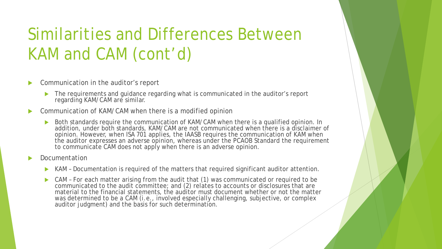## Similarities and Differences Between KAM and CAM (cont'd)

- Communication in the auditor's report
	- ▶ The requirements and guidance regarding what is communicated in the auditor's report regarding KAM/CAM are similar.
- Communication of KAM/CAM when there is a modified opinion
	- Both standards require the communication of KAM/CAM when there is a qualified opinion. In addition, under both standards, KAM/CAM are not communicated when there is a disclaimer of opinion. However, when ISA 701 applies, the IAASB requires the communication of KAM when the auditor expresses an adverse opinion, whereas under the PCAOB Standard the requirement to communicate CAM does not apply when there is an adverse opinion.
- Documentation
	- KAM Documentation is required of the matters that required significant auditor attention.
	- CAM For each matter arising from the audit that (1) was communicated or required to be communicated to the audit committee; and (2) relates to accounts or disclosures that are material to the financial statements, the auditor must document whether or not the matter was determined to be a CAM (*i.e.*, involved especially challenging, subjective, or complex auditor judgment) and the basis for such determination.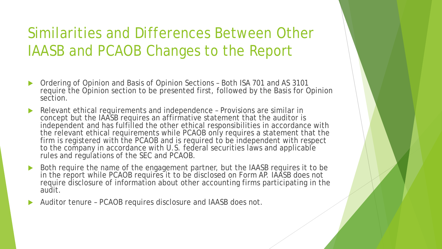### Similarities and Differences Between Other IAASB and PCAOB Changes to the Report

- Ordering of Opinion and Basis of Opinion Sections Both ISA 701 and AS 3101 require the Opinion section to be presented first, followed by the Basis for Opinion section.
- Relevant ethical requirements and independence Provisions are similar in concept but the IAASB requires an affirmative statement that the auditor is independent and has fulfilled the other ethical responsibilities in accordance with the relevant ethical requirements while PCAOB only requires a statement that the firm is registered with the PCAOB and is required to be independent with respect to the company in accordance with U.S. federal securities laws and applicable rules and regulations of the SEC and PCAOB.
- Both require the name of the engagement partner, but the IAASB requires it to be in the report while PCAOB requires it to be disclosed on Form AP. IAASB does not require disclosure of information about other accounting firms participating in the audit.
- Auditor tenure PCAOB requires disclosure and IAASB does not.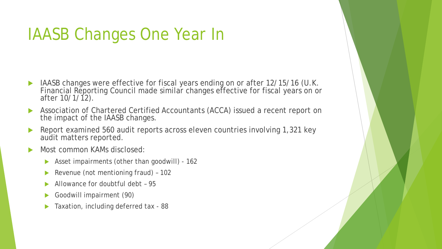### IAASB Changes One Year In

- **IAASB changes were effective for fiscal years ending on or after 12/15/16 (U.K.** Financial Reporting Council made similar changes effective for fiscal years on or after 10/1/12).
- Association of Chartered Certified Accountants (ACCA) issued a recent report on the impact of the IAASB changes.
- Report examined 560 audit reports across eleven countries involving 1,321 key audit matters reported.
- Most common KAMs disclosed:
	- Asset impairments (other than goodwill) 162
	- ▶ Revenue (not mentioning fraud) 102
	- Allowance for doubtful debt 95
	- Goodwill impairment (90)
	- Taxation, including deferred tax 88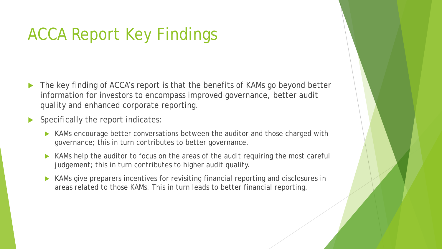## ACCA Report Key Findings

- The key finding of ACCA's report is that the benefits of KAMs go beyond better information for investors to encompass improved governance, better audit quality and enhanced corporate reporting.
- Specifically the report indicates:
	- KAMs encourage better conversations between the auditor and those charged with governance; this in turn contributes to better governance.
	- KAMs help the auditor to focus on the areas of the audit requiring the most careful judgement; this in turn contributes to higher audit quality.
	- KAMs give preparers incentives for revisiting financial reporting and disclosures in areas related to those KAMs. This in turn leads to better financial reporting.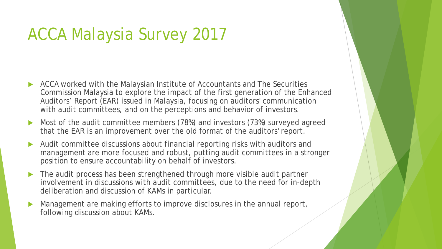### ACCA Malaysia Survey 2017

- ACCA worked with the Malaysian Institute of Accountants and The Securities Commission Malaysia to explore the impact of the first generation of the Enhanced Auditors' Report (EAR) issued in Malaysia, focusing on auditors' communication with audit committees, and on the perceptions and behavior of investors.
- Most of the audit committee members (78%) and investors (73%) surveyed agreed that the EAR is an improvement over the old format of the auditors' report.
- Audit committee discussions about financial reporting risks with auditors and management are more focused and robust, putting audit committees in a stronger position to ensure accountability on behalf of investors.
- The audit process has been strengthened through more visible audit partner involvement in discussions with audit committees, due to the need for in-depth deliberation and discussion of KAMs in particular.
- Management are making efforts to improve disclosures in the annual report, following discussion about KAMs.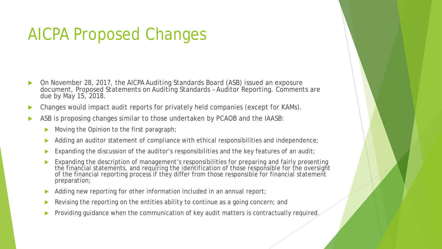### AICPA Proposed Changes

- On November 28, 2017, the AICPA Auditing Standards Board (ASB) issued an exposure document, Proposed Statements on Auditing Standards – Auditor Reporting. Comments are due by May 15, 2018.
- Changes would impact audit reports for privately held companies (except for KAMs).
- ASB is proposing changes similar to those undertaken by PCAOB and the IAASB:
	- Moving the Opinion to the first paragraph;
	- Adding an auditor statement of compliance with ethical responsibilities and independence;
	- Expanding the discussion of the auditor's responsibilities and the key features of an audit;
	- Expanding the description of management's responsibilities for preparing and fairly presenting the financial statements, and requiring the identification of those responsible for the oversight of the financial reporting process if they differ from those responsible for financial statement preparation;
	- Adding new reporting for other information included in an annual report;
	- Revising the reporting on the entities ability to continue as a going concern; and
	- Providing guidance when the communication of key audit matters is contractually required.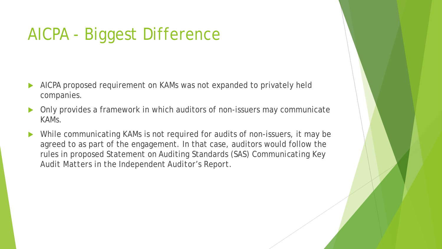## AICPA - Biggest Difference

- AICPA proposed requirement on KAMs was not expanded to privately held companies.
- Only provides a framework in which auditors of non-issuers may communicate KAMs.
- While communicating KAMs is not required for audits of non-issuers, it may be agreed to as part of the engagement. In that case, auditors would follow the rules in proposed Statement on Auditing Standards (SAS) *Communicating Key Audit Matters in the Independent Auditor's Report*.